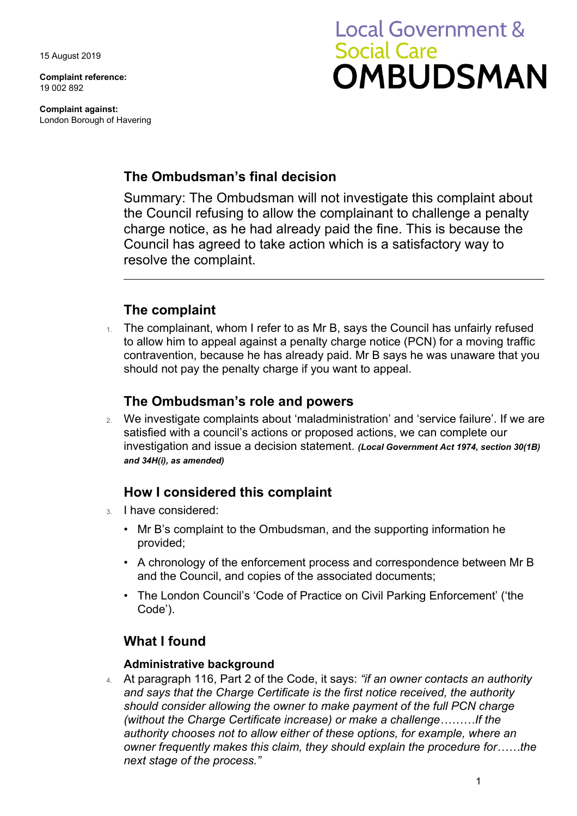15 August 2019

**Complaint reference:**  19 002 892

**Complaint against:**  London Borough of Havering

# **Local Government & Social Care OMBUDSMAN**

### **The Ombudsman's final decision**

 Council has agreed to take action which is a satisfactory way to Summary: The Ombudsman will not investigate this complaint about the Council refusing to allow the complainant to challenge a penalty charge notice, as he had already paid the fine. This is because the resolve the complaint.

## **The complaint**

 to allow him to appeal against a penalty charge notice (PCN) for a moving traffic 1. The complainant, whom I refer to as Mr B, says the Council has unfairly refused contravention, because he has already paid. Mr B says he was unaware that you should not pay the penalty charge if you want to appeal.

## **The Ombudsman's role and powers**

 satisfied with a council's actions or proposed actions, we can complete our 2. We investigate complaints about 'maladministration' and 'service failure'. If we are investigation and issue a decision statement. *(Local Government Act 1974, section 30(1B) and 34H(i), as amended)* 

## **How I considered this complaint**

- 3. I have considered:
	- Mr B's complaint to the Ombudsman, and the supporting information he provided;
	- A chronology of the enforcement process and correspondence between Mr B and the Council, and copies of the associated documents;
	- The London Council's 'Code of Practice on Civil Parking Enforcement' ('the Code').

## **What I found**

#### **Administrative background**

 *owner frequently makes this claim, they should explain the procedure for……the*  4. At paragraph 116, Part 2 of the Code, it says: *"if an owner contacts an authority and says that the Charge Certificate is the first notice received, the authority should consider allowing the owner to make payment of the full PCN charge (without the Charge Certificate increase) or make a challenge………If the authority chooses not to allow either of these options, for example, where an next stage of the process."*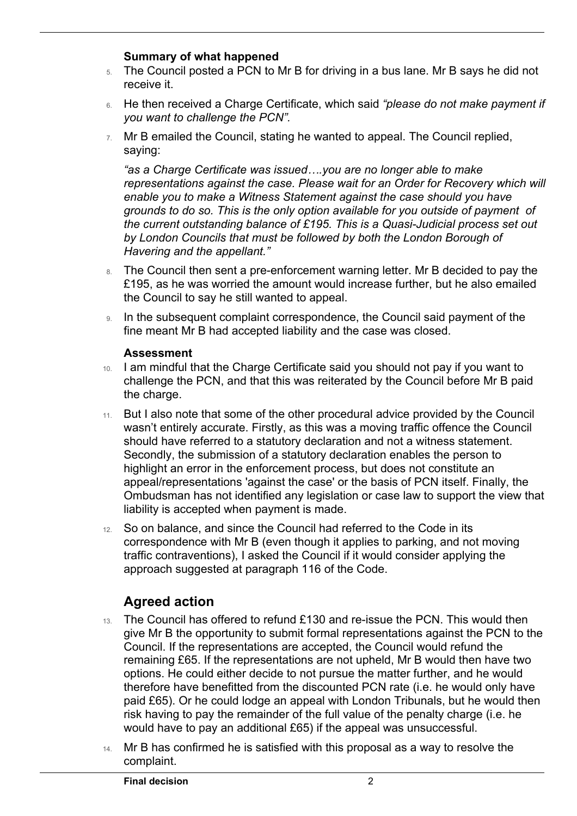#### **Summary of what happened**

 $\overline{a}$ 

- 5. The Council posted a PCN to Mr B for driving in a bus lane. Mr B says he did not receive it.
- 6. He then received a Charge Certificate, which said *"please do not make payment if you want to challenge the PCN".*
- 7. Mr B emailed the Council, stating he wanted to appeal. The Council replied, saying:

*"as a Charge Certificate was issued….you are no longer able to make representations against the case. Please wait for an Order for Recovery which will enable you to make a Witness Statement against the case should you have grounds to do so. This is the only option available for you outside of payment of the current outstanding balance of £195. This is a Quasi-Judicial process set out by London Councils that must be followed by both the London Borough of Havering and the appellant."* 

- 8. The Council then sent a pre-enforcement warning letter. Mr B decided to pay the £195, as he was worried the amount would increase further, but he also emailed the Council to say he still wanted to appeal.
- 9. In the subsequent complaint correspondence, the Council said payment of the fine meant Mr B had accepted liability and the case was closed.

#### **Assessment**

- 10. I am mindful that the Charge Certificate said you should not pay if you want to challenge the PCN, and that this was reiterated by the Council before Mr B paid the charge.
- highlight an error in the enforcement process, but does not constitute an 11. But I also note that some of the other procedural advice provided by the Council wasn't entirely accurate. Firstly, as this was a moving traffic offence the Council should have referred to a statutory declaration and not a witness statement. Secondly, the submission of a statutory declaration enables the person to appeal/representations 'against the case' or the basis of PCN itself. Finally, the Ombudsman has not identified any legislation or case law to support the view that liability is accepted when payment is made.
- 12. So on balance, and since the Council had referred to the Code in its correspondence with Mr B (even though it applies to parking, and not moving traffic contraventions), I asked the Council if it would consider applying the approach suggested at paragraph 116 of the Code.

## **Agreed action**

- paid £65). Or he could lodge an appeal with London Tribunals, but he would then 13. The Council has offered to refund £130 and re-issue the PCN. This would then give Mr B the opportunity to submit formal representations against the PCN to the Council. If the representations are accepted, the Council would refund the remaining £65. If the representations are not upheld, Mr B would then have two options. He could either decide to not pursue the matter further, and he would therefore have benefitted from the discounted PCN rate (i.e. he would only have risk having to pay the remainder of the full value of the penalty charge (i.e. he would have to pay an additional £65) if the appeal was unsuccessful.
- 14. Mr B has confirmed he is satisfied with this proposal as a way to resolve the complaint.